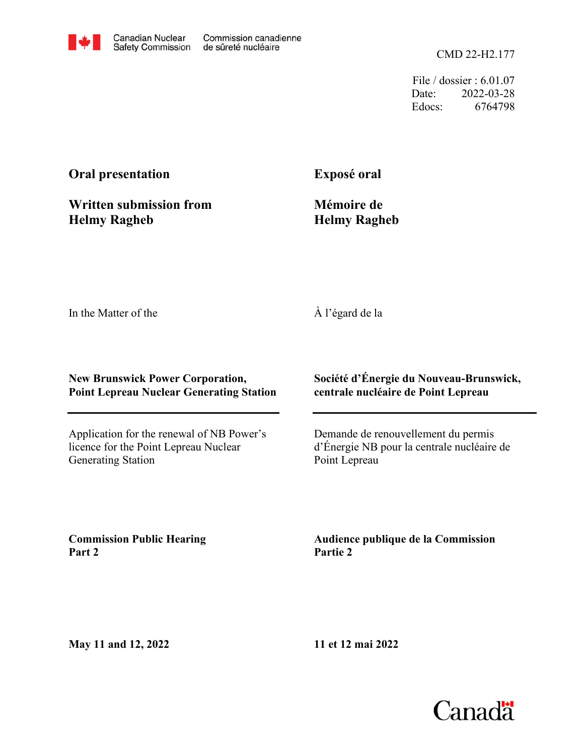CMD 22-H2.177

File / dossier : 6.01.07 Date: 2022-03-28 Edocs: 6764798

#### **Oral presentation**

**Exposé oral**

**Written submission from Helmy Ragheb**

**Mémoire de Helmy Ragheb**

In the Matter of the

À l'égard de la

#### **New Brunswick Power Corporation, Point Lepreau Nuclear Generating Station**

Application for the renewal of NB Power's licence for the Point Lepreau Nuclear Generating Station

**Société d'Énergie du Nouveau-Brunswick, centrale nucléaire de Point Lepreau**

Demande de renouvellement du permis d'Énergie NB pour la centrale nucléaire de Point Lepreau

**Commission Public Hearing Part 2**

**Audience publique de la Commission Partie 2**

**May 11 and 12, 2022**

**11 et 12 mai 2022**

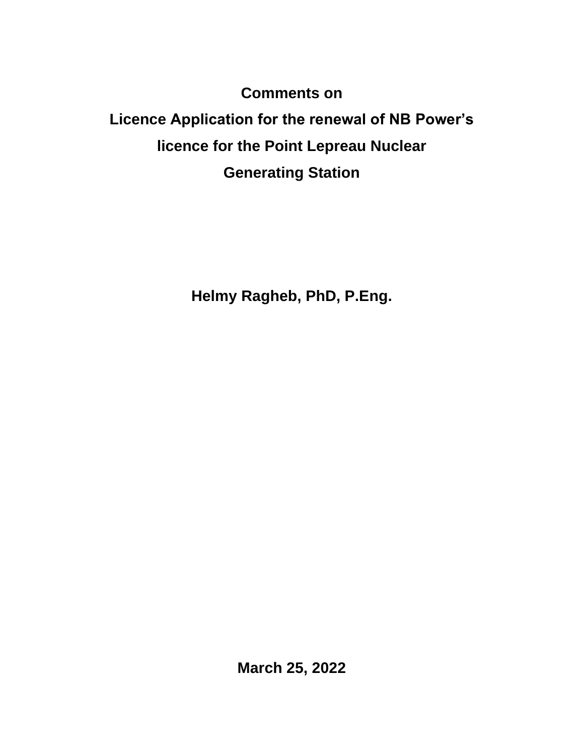**Comments on**

# **Licence Application for the renewal of NB Power's licence for the Point Lepreau Nuclear Generating Station**

**Helmy Ragheb, PhD, P.Eng.**

**March 25, 2022**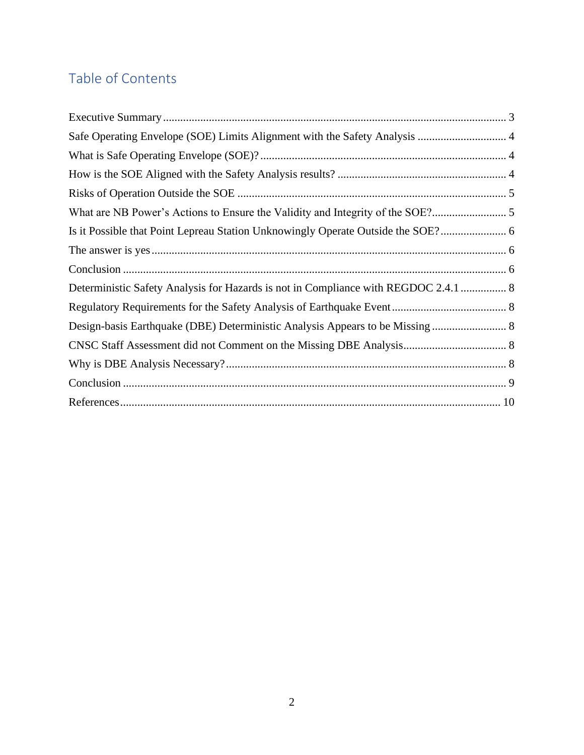# Table of Contents

| Safe Operating Envelope (SOE) Limits Alignment with the Safety Analysis  4          |  |
|-------------------------------------------------------------------------------------|--|
|                                                                                     |  |
|                                                                                     |  |
|                                                                                     |  |
|                                                                                     |  |
|                                                                                     |  |
|                                                                                     |  |
|                                                                                     |  |
| Deterministic Safety Analysis for Hazards is not in Compliance with REGDOC 2.4.1  8 |  |
|                                                                                     |  |
| Design-basis Earthquake (DBE) Deterministic Analysis Appears to be Missing  8       |  |
|                                                                                     |  |
|                                                                                     |  |
|                                                                                     |  |
|                                                                                     |  |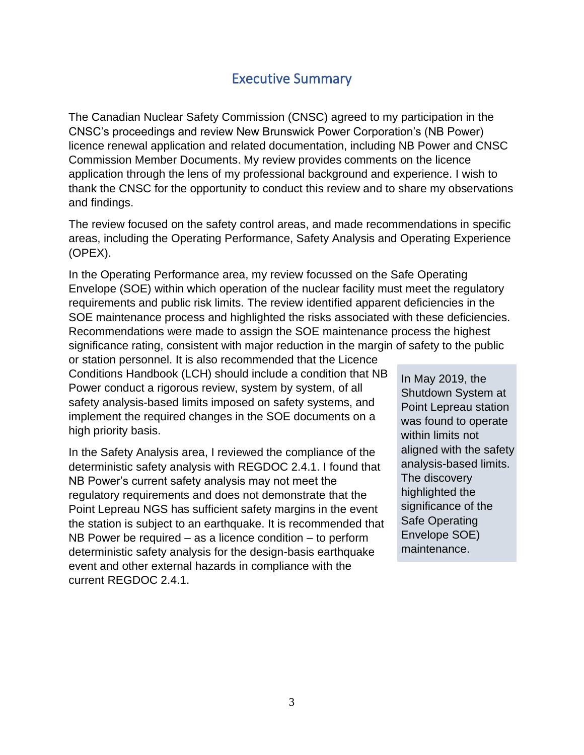### Executive Summary

<span id="page-3-0"></span>The Canadian Nuclear Safety Commission (CNSC) agreed to my participation in the CNSC's proceedings and review New Brunswick Power Corporation's (NB Power) licence renewal application and related documentation, including NB Power and CNSC Commission Member Documents. My review provides comments on the licence application through the lens of my professional background and experience. I wish to thank the CNSC for the opportunity to conduct this review and to share my observations and findings.

The review focused on the safety control areas, and made recommendations in specific areas, including the Operating Performance, Safety Analysis and Operating Experience (OPEX).

In the Operating Performance area, my review focussed on the Safe Operating Envelope (SOE) within which operation of the nuclear facility must meet the regulatory requirements and public risk limits. The review identified apparent deficiencies in the SOE maintenance process and highlighted the risks associated with these deficiencies. Recommendations were made to assign the SOE maintenance process the highest significance rating, consistent with major reduction in the margin of safety to the public

or station personnel. It is also recommended that the Licence Conditions Handbook (LCH) should include a condition that NB Power conduct a rigorous review, system by system, of all safety analysis-based limits imposed on safety systems, and implement the required changes in the SOE documents on a high priority basis.

In the Safety Analysis area, I reviewed the compliance of the deterministic safety analysis with REGDOC 2.4.1. I found that NB Power's current safety analysis may not meet the regulatory requirements and does not demonstrate that the Point Lepreau NGS has sufficient safety margins in the event the station is subject to an earthquake. It is recommended that NB Power be required – as a licence condition – to perform deterministic safety analysis for the design-basis earthquake event and other external hazards in compliance with the current REGDOC 2.4.1.

In May 2019, the Shutdown System at Point Lepreau station was found to operate within limits not aligned with the safety analysis-based limits. The discovery highlighted the significance of the Safe Operating Envelope SOE) maintenance.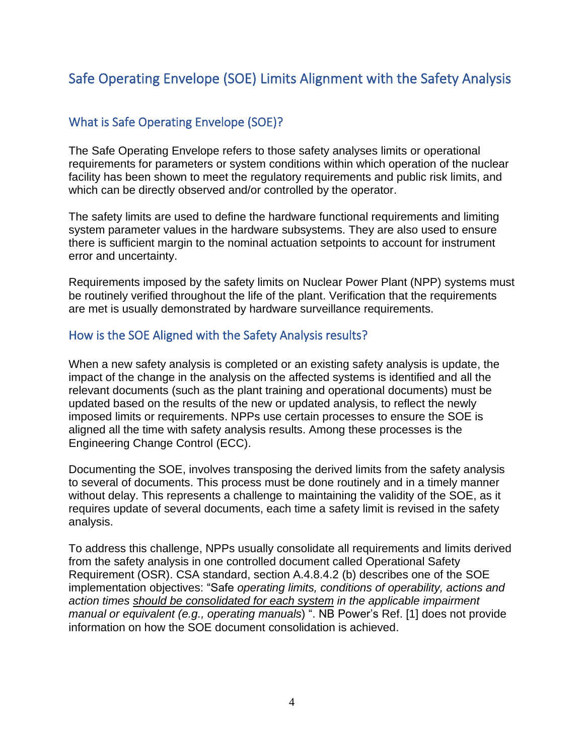# <span id="page-4-0"></span>Safe Operating Envelope (SOE) Limits Alignment with the Safety Analysis

#### <span id="page-4-1"></span>What is Safe Operating Envelope (SOE)?

The Safe Operating Envelope refers to those safety analyses limits or operational requirements for parameters or system conditions within which operation of the nuclear facility has been shown to meet the regulatory requirements and public risk limits, and which can be directly observed and/or controlled by the operator.

The safety limits are used to define the hardware functional requirements and limiting system parameter values in the hardware subsystems. They are also used to ensure there is sufficient margin to the nominal actuation setpoints to account for instrument error and uncertainty.

Requirements imposed by the safety limits on Nuclear Power Plant (NPP) systems must be routinely verified throughout the life of the plant. Verification that the requirements are met is usually demonstrated by hardware surveillance requirements.

#### <span id="page-4-2"></span>How is the SOE Aligned with the Safety Analysis results?

When a new safety analysis is completed or an existing safety analysis is update, the impact of the change in the analysis on the affected systems is identified and all the relevant documents (such as the plant training and operational documents) must be updated based on the results of the new or updated analysis, to reflect the newly imposed limits or requirements. NPPs use certain processes to ensure the SOE is aligned all the time with safety analysis results. Among these processes is the Engineering Change Control (ECC).

Documenting the SOE, involves transposing the derived limits from the safety analysis to several of documents. This process must be done routinely and in a timely manner without delay. This represents a challenge to maintaining the validity of the SOE, as it requires update of several documents, each time a safety limit is revised in the safety analysis.

To address this challenge, NPPs usually consolidate all requirements and limits derived from the safety analysis in one controlled document called Operational Safety Requirement (OSR). CSA standard, section A.4.8.4.2 (b) describes one of the SOE implementation objectives: "Safe *operating limits, conditions of operability, actions and action times should be consolidated for each system in the applicable impairment manual or equivalent (e.g., operating manuals*) ". NB Power's Ref. [1] does not provide information on how the SOE document consolidation is achieved.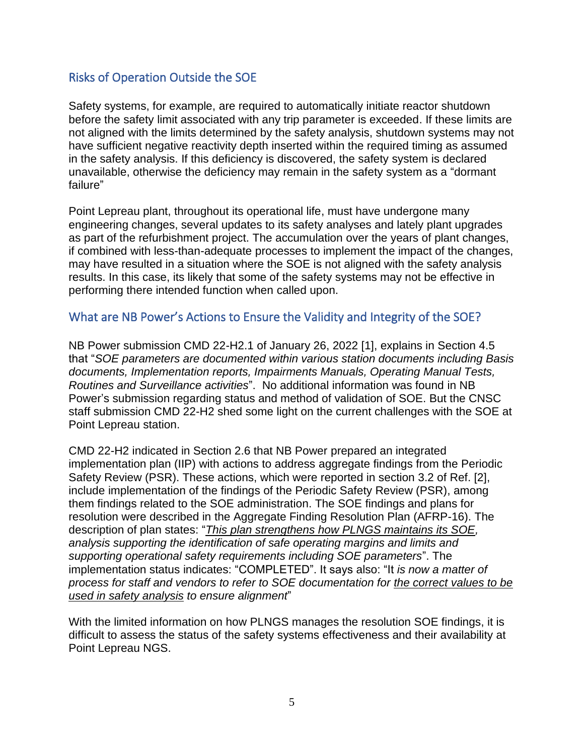#### <span id="page-5-0"></span>Risks of Operation Outside the SOE

Safety systems, for example, are required to automatically initiate reactor shutdown before the safety limit associated with any trip parameter is exceeded. If these limits are not aligned with the limits determined by the safety analysis, shutdown systems may not have sufficient negative reactivity depth inserted within the required timing as assumed in the safety analysis. If this deficiency is discovered, the safety system is declared unavailable, otherwise the deficiency may remain in the safety system as a "dormant failure"

Point Lepreau plant, throughout its operational life, must have undergone many engineering changes, several updates to its safety analyses and lately plant upgrades as part of the refurbishment project. The accumulation over the years of plant changes, if combined with less-than-adequate processes to implement the impact of the changes, may have resulted in a situation where the SOE is not aligned with the safety analysis results. In this case, its likely that some of the safety systems may not be effective in performing there intended function when called upon.

#### <span id="page-5-1"></span>What are NB Power's Actions to Ensure the Validity and Integrity of the SOE?

NB Power submission CMD 22-H2.1 of January 26, 2022 [1], explains in Section 4.5 that "*SOE parameters are documented within various station documents including Basis documents, Implementation reports, Impairments Manuals, Operating Manual Tests, Routines and Surveillance activities*". No additional information was found in NB Power's submission regarding status and method of validation of SOE. But the CNSC staff submission CMD 22-H2 shed some light on the current challenges with the SOE at Point Lepreau station.

CMD 22-H2 indicated in Section 2.6 that NB Power prepared an integrated implementation plan (IIP) with actions to address aggregate findings from the Periodic Safety Review (PSR). These actions, which were reported in section 3.2 of Ref. [2], include implementation of the findings of the Periodic Safety Review (PSR), among them findings related to the SOE administration. The SOE findings and plans for resolution were described in the Aggregate Finding Resolution Plan (AFRP-16). The description of plan states: "*This plan strengthens how PLNGS maintains its SOE, analysis supporting the identification of safe operating margins and limits and supporting operational safety requirements including SOE parameters*". The implementation status indicates: "COMPLETED". It says also: "It *is now a matter of process for staff and vendors to refer to SOE documentation for the correct values to be used in safety analysis to ensure alignment*"

With the limited information on how PLNGS manages the resolution SOE findings, it is difficult to assess the status of the safety systems effectiveness and their availability at Point Lepreau NGS.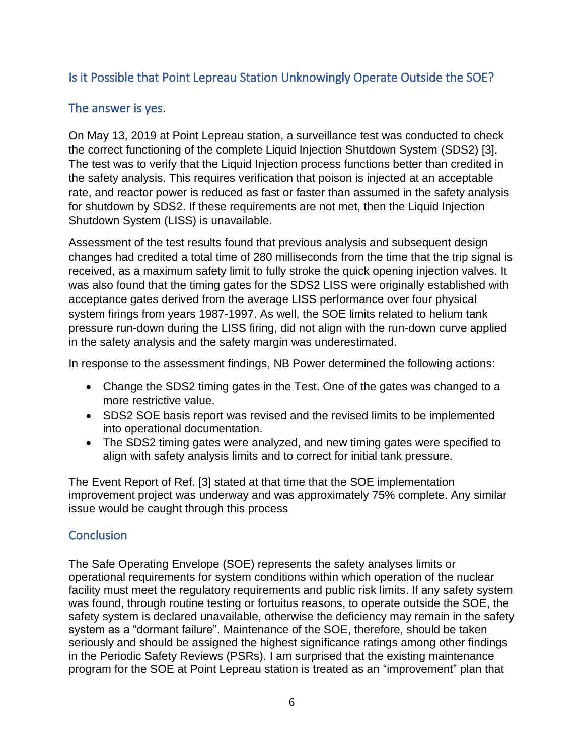#### <span id="page-6-0"></span>Is it Possible that Point Lepreau Station Unknowingly Operate Outside the SOE?

#### <span id="page-6-1"></span>The answer is yes.

On May 13, 2019 at Point Lepreau station, a surveillance test was conducted to check the correct functioning of the complete Liquid Injection Shutdown System (SDS2) [3]. The test was to verify that the Liquid Injection process functions better than credited in the safety analysis. This requires verification that poison is injected at an acceptable rate, and reactor power is reduced as fast or faster than assumed in the safety analysis for shutdown by SDS2. If these requirements are not met, then the Liquid Injection Shutdown System (LISS) is unavailable.

Assessment of the test results found that previous analysis and subsequent design changes had credited a total time of 280 milliseconds from the time that the trip signal is received, as a maximum safety limit to fully stroke the quick opening injection valves. It was also found that the timing gates for the SDS2 LISS were originally established with acceptance gates derived from the average LISS performance over four physical system firings from years 1987-1997. As well, the SOE limits related to helium tank pressure run-down during the LISS firing, did not align with the run-down curve applied in the safety analysis and the safety margin was underestimated.

In response to the assessment findings, NB Power determined the following actions:

- Change the SDS2 timing gates in the Test. One of the gates was changed to a more restrictive value.
- SDS2 SOE basis report was revised and the revised limits to be implemented into operational documentation.
- The SDS2 timing gates were analyzed, and new timing gates were specified to align with safety analysis limits and to correct for initial tank pressure.

The Event Report of Ref. [3] stated at that time that the SOE implementation improvement project was underway and was approximately 75% complete. Any similar issue would be caught through this process

#### <span id="page-6-2"></span>**Conclusion**

The Safe Operating Envelope (SOE) represents the safety analyses limits or operational requirements for system conditions within which operation of the nuclear facility must meet the regulatory requirements and public risk limits. If any safety system was found, through routine testing or fortuitus reasons, to operate outside the SOE, the safety system is declared unavailable, otherwise the deficiency may remain in the safety system as a "dormant failure". Maintenance of the SOE, therefore, should be taken seriously and should be assigned the highest significance ratings among other findings in the Periodic Safety Reviews (PSRs). I am surprised that the existing maintenance program for the SOE at Point Lepreau station is treated as an "improvement" plan that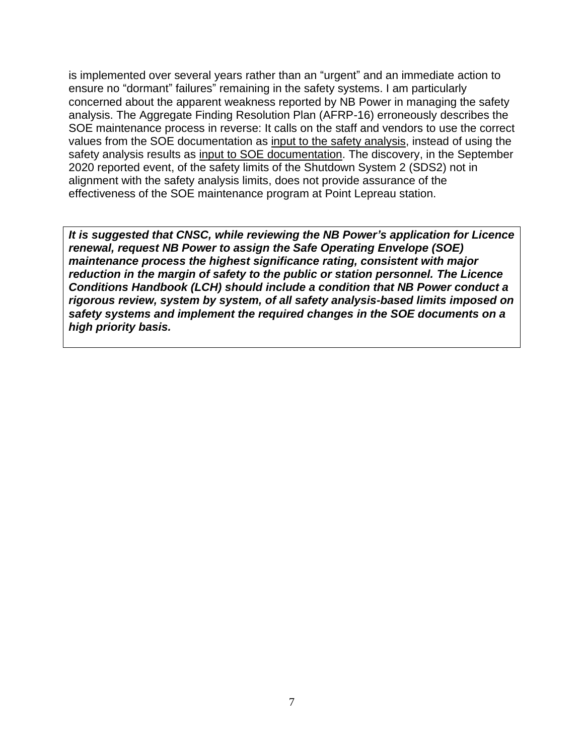is implemented over several years rather than an "urgent" and an immediate action to ensure no "dormant" failures" remaining in the safety systems. I am particularly concerned about the apparent weakness reported by NB Power in managing the safety analysis. The Aggregate Finding Resolution Plan (AFRP-16) erroneously describes the SOE maintenance process in reverse: It calls on the staff and vendors to use the correct values from the SOE documentation as input to the safety analysis, instead of using the safety analysis results as input to SOE documentation. The discovery, in the September 2020 reported event, of the safety limits of the Shutdown System 2 (SDS2) not in alignment with the safety analysis limits, does not provide assurance of the effectiveness of the SOE maintenance program at Point Lepreau station.

*It is suggested that CNSC, while reviewing the NB Power's application for Licence renewal, request NB Power to assign the Safe Operating Envelope (SOE) maintenance process the highest significance rating, consistent with major reduction in the margin of safety to the public or station personnel. The Licence Conditions Handbook (LCH) should include a condition that NB Power conduct a rigorous review, system by system, of all safety analysis-based limits imposed on safety systems and implement the required changes in the SOE documents on a high priority basis.*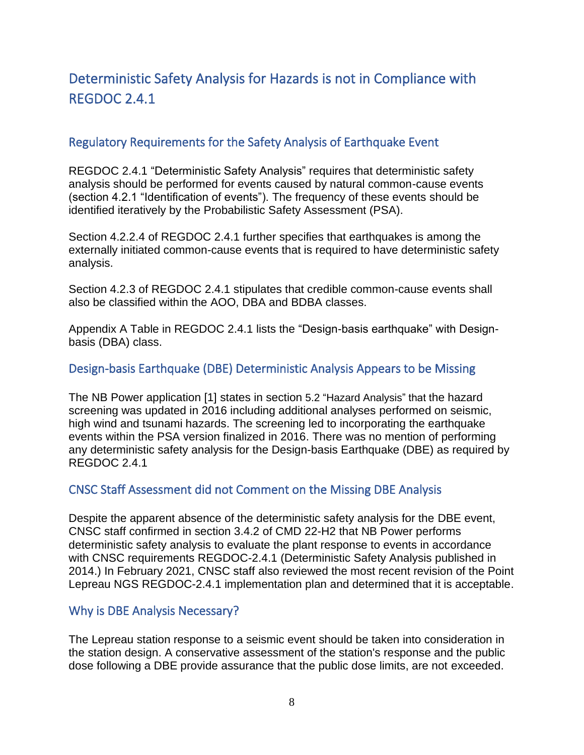# <span id="page-8-0"></span>Deterministic Safety Analysis for Hazards is not in Compliance with REGDOC 2.4.1

#### <span id="page-8-1"></span>Regulatory Requirements for the Safety Analysis of Earthquake Event

REGDOC 2.4.1 "Deterministic Safety Analysis" requires that deterministic safety analysis should be performed for events caused by natural common-cause events (section 4.2.1 "Identification of events"). The frequency of these events should be identified iteratively by the Probabilistic Safety Assessment (PSA).

Section 4.2.2.4 of REGDOC 2.4.1 further specifies that earthquakes is among the externally initiated common-cause events that is required to have deterministic safety analysis.

Section 4.2.3 of REGDOC 2.4.1 stipulates that credible common-cause events shall also be classified within the AOO, DBA and BDBA classes.

Appendix A Table in REGDOC 2.4.1 lists the "Design-basis earthquake" with Designbasis (DBA) class.

#### <span id="page-8-2"></span>Design-basis Earthquake (DBE) Deterministic Analysis Appears to be Missing

The NB Power application [1] states in section 5.2 "Hazard Analysis" that the hazard screening was updated in 2016 including additional analyses performed on seismic, high wind and tsunami hazards. The screening led to incorporating the earthquake events within the PSA version finalized in 2016. There was no mention of performing any deterministic safety analysis for the Design-basis Earthquake (DBE) as required by REGDOC 2.4.1

#### <span id="page-8-3"></span>CNSC Staff Assessment did not Comment on the Missing DBE Analysis

Despite the apparent absence of the deterministic safety analysis for the DBE event, CNSC staff confirmed in section 3.4.2 of CMD 22-H2 that NB Power performs deterministic safety analysis to evaluate the plant response to events in accordance with CNSC requirements REGDOC-2.4.1 (Deterministic Safety Analysis published in 2014.) In February 2021, CNSC staff also reviewed the most recent revision of the Point Lepreau NGS REGDOC-2.4.1 implementation plan and determined that it is acceptable.

#### <span id="page-8-4"></span>Why is DBE Analysis Necessary?

The Lepreau station response to a seismic event should be taken into consideration in the station design. A conservative assessment of the station's response and the public dose following a DBE provide assurance that the public dose limits, are not exceeded.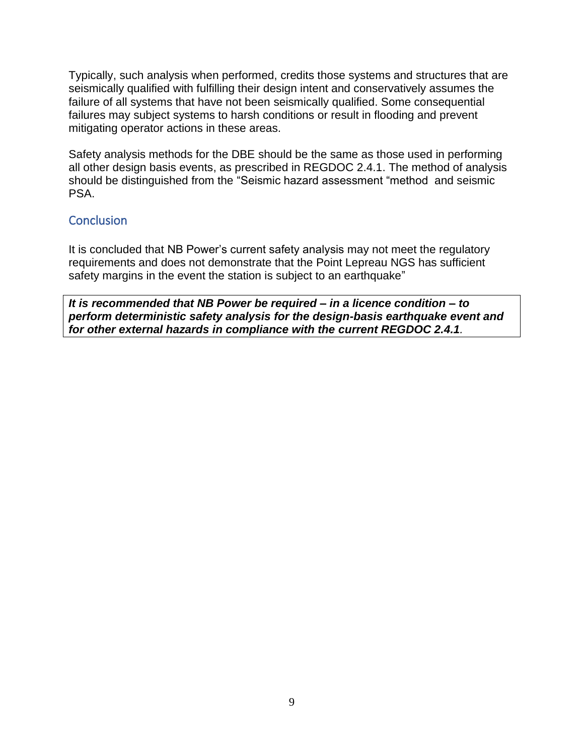Typically, such analysis when performed, credits those systems and structures that are seismically qualified with fulfilling their design intent and conservatively assumes the failure of all systems that have not been seismically qualified. Some consequential failures may subject systems to harsh conditions or result in flooding and prevent mitigating operator actions in these areas.

Safety analysis methods for the DBE should be the same as those used in performing all other design basis events, as prescribed in REGDOC 2.4.1. The method of analysis should be distinguished from the "Seismic hazard assessment "method and seismic PSA.

#### <span id="page-9-0"></span>**Conclusion**

It is concluded that NB Power's current safety analysis may not meet the regulatory requirements and does not demonstrate that the Point Lepreau NGS has sufficient safety margins in the event the station is subject to an earthquake"

*It is recommended that NB Power be required – in a licence condition – to perform deterministic safety analysis for the design-basis earthquake event and for other external hazards in compliance with the current REGDOC 2.4.1.*